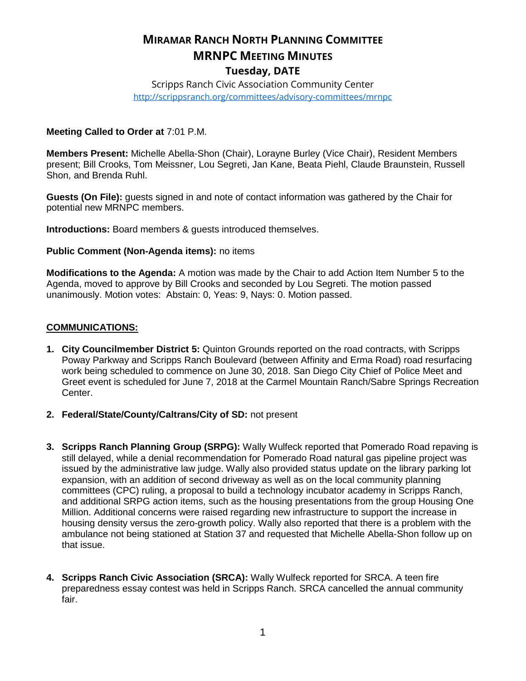# **MIRAMAR RANCH NORTH PLANNING COMMITTEE MRNPC MEETING MINUTES Tuesday, DATE**

Scripps Ranch Civic Association Community Center <http://scrippsranch.org/committees/advisory-committees/mrnpc>

### **Meeting Called to Order at** 7:01 P.M.

**Members Present:** Michelle Abella-Shon (Chair), Lorayne Burley (Vice Chair), Resident Members present; Bill Crooks, Tom Meissner, Lou Segreti, Jan Kane, Beata Piehl, Claude Braunstein, Russell Shon, and Brenda Ruhl.

**Guests (On File):** guests signed in and note of contact information was gathered by the Chair for potential new MRNPC members.

**Introductions:** Board members & guests introduced themselves.

### **Public Comment (Non-Agenda items):** no items

**Modifications to the Agenda:** A motion was made by the Chair to add Action Item Number 5 to the Agenda, moved to approve by Bill Crooks and seconded by Lou Segreti. The motion passed unanimously. Motion votes: Abstain: 0, Yeas: 9, Nays: 0. Motion passed.

### **COMMUNICATIONS:**

- **1. City Councilmember District 5:** Quinton Grounds reported on the road contracts, with Scripps Poway Parkway and Scripps Ranch Boulevard (between Affinity and Erma Road) road resurfacing work being scheduled to commence on June 30, 2018. San Diego City Chief of Police Meet and Greet event is scheduled for June 7, 2018 at the Carmel Mountain Ranch/Sabre Springs Recreation Center.
- **2. Federal/State/County/Caltrans/City of SD:** not present
- **3. Scripps Ranch Planning Group (SRPG):** Wally Wulfeck reported that Pomerado Road repaving is still delayed, while a denial recommendation for Pomerado Road natural gas pipeline project was issued by the administrative law judge. Wally also provided status update on the library parking lot expansion, with an addition of second driveway as well as on the local community planning committees (CPC) ruling, a proposal to build a technology incubator academy in Scripps Ranch, and additional SRPG action items, such as the housing presentations from the group Housing One Million. Additional concerns were raised regarding new infrastructure to support the increase in housing density versus the zero-growth policy. Wally also reported that there is a problem with the ambulance not being stationed at Station 37 and requested that Michelle Abella-Shon follow up on that issue.
- **4. Scripps Ranch Civic Association (SRCA):** Wally Wulfeck reported for SRCA. A teen fire preparedness essay contest was held in Scripps Ranch. SRCA cancelled the annual community fair.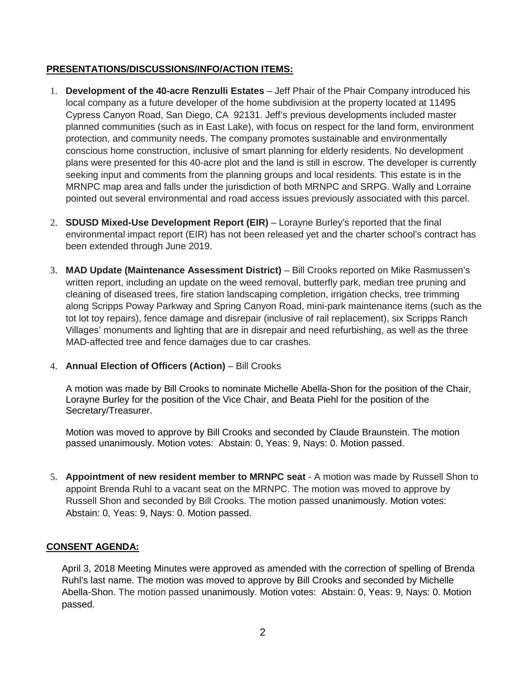# **PRESENTATIONS/DISCUSSIONS/INFO/ACTION ITEMS:**

- 1. **Development of the 40-acre Renzulli Estates** Jeff Phair of the Phair Company introduced his local company as a future developer of the home subdivision at the property located at 11495 Cypress Canyon Road, San Diego, CA 92131. Jeff's previous developments included master planned communities (such as in East Lake), with focus on respect for the land form, environment protection, and community needs. The company promotes sustainable and environmentally conscious home construction, inclusive of smart planning for elderly residents. No development plans were presented for this 40-acre plot and the land is still in escrow. The developer is currently seeking input and comments from the planning groups and local residents. This estate is in the MRNPC map area and falls under the jurisdiction of both MRNPC and SRPG. Wally and Lorraine pointed out several environmental and road access issues previously associated with this parcel.
- 2. **SDUSD Mixed-Use Development Report (EIR)** Lorayne Burley's reported that the final environmental impact report (EIR) has not been released yet and the charter school's contract has been extended through June 2019.
- 3. **MAD Update (Maintenance Assessment District)** Bill Crooks reported on Mike Rasmussen's written report, including an update on the weed removal, butterfly park, median tree pruning and cleaning of diseased trees, fire station landscaping completion, irrigation checks, tree trimming along Scripps Poway Parkway and Spring Canyon Road, mini-park maintenance items (such as the tot lot toy repairs), fence damage and disrepair (inclusive of rail replacement), six Scripps Ranch Villages' monuments and lighting that are in disrepair and need refurbishing, as well as the three MAD-affected tree and fence damages due to car crashes.

## 4. **Annual Election of Officers (Action)** – Bill Crooks

A motion was made by Bill Crooks to nominate Michelle Abella-Shon for the position of the Chair, Lorayne Burley for the position of the Vice Chair, and Beata Piehl for the position of the Secretary/Treasurer.

Motion was moved to approve by Bill Crooks and seconded by Claude Braunstein. The motion passed unanimously. Motion votes: Abstain: 0, Yeas: 9, Nays: 0. Motion passed.

5. **Appointment of new resident member to MRNPC seat** - A motion was made by Russell Shon to appoint Brenda Ruhl to a vacant seat on the MRNPC. The motion was moved to approve by Russell Shon and seconded by Bill Crooks. The motion passed unanimously. Motion votes: Abstain: 0, Yeas: 9, Nays: 0. Motion passed.

## **CONSENT AGENDA:**

April 3, 2018 Meeting Minutes were approved as amended with the correction of spelling of Brenda Ruhl's last name. The motion was moved to approve by Bill Crooks and seconded by Michelle Abella-Shon. The motion passed unanimously. Motion votes: Abstain: 0, Yeas: 9, Nays: 0. Motion passed.